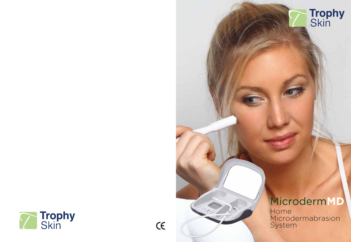

 $\epsilon$ 

# Microderm**MD**

**Trophy**<br>Skin

Home Microdermabrasion System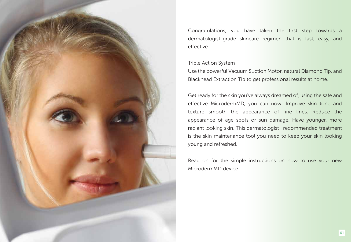

Congratulations, you have taken the first step towards a dermatologist-grade skincare regimen that is fast, easy, and effective.

#### Triple Action System

Use the powerful Vacuum Suction Motor, natural Diamond Tip, and Blackhead Extraction Tip to get professional results at home.

Get ready for the skin you've always dreamed of, using the safe and effective MicrodermMD, you can now: Improve skin tone and texture smooth the appearance of fine lines. Reduce the appearance of age spots or sun damage. Have younger, more radiant looking skin. This dermatologist recommended treatment is the skin maintenance tool you need to keep your skin looking young and refreshed.

Read on for the simple instructions on how to use your new MicrodermMD device.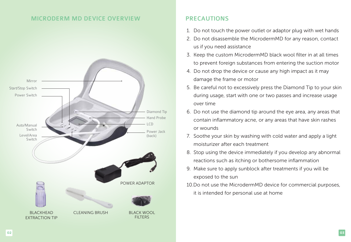# MICRODERM MD DEVICE OVERVIEW



# PRECAUTIONS

- 1. Do not touch the power outlet or adaptor plug with wet hands
- 2. Do not disassemble the MicrodermMD for any reason, contact us if you need assistance
- 3. Keep the custom MicrodermMD black wool filter in at all times to prevent foreign substances from entering the suction motor
- 4. Do not drop the device or cause any high impact as it may damage the frame or motor
- 5. Be careful not to excessively press the Diamond Tip to your skin during usage, start with one or two passes and increase usage over time
- 6. Do not use the diamond tip around the eye area, any areas that contain inflammatory acne, or any areas that have skin rashes or wounds
- 7. Soothe your skin by washing with cold water and apply a light moisturizer after each treatment
- 8. Stop using the device immediately if you develop any abnormal reactions such as itching or bothersome inflammation
- 9. Make sure to apply sunblock after treatments if you will be exposed to the sun
- 10.Do not use the MicrodermMD device for commercial purposes, it is intended for personal use at home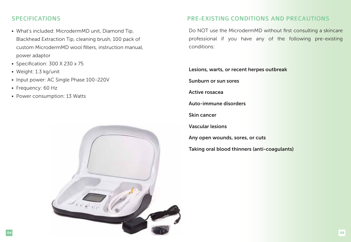- What's included: MicrodermMD unit, Diamond Tip, Blackhead Extraction Tip, cleaning brush, 100 pack of custom MicrodermMD wool filters, instruction manual, power adaptor
- Specification: 300 X 230 x 75
- Weight: 1.3 kg/unit
- Input power: AC Single Phase 100-220V
- Frequency: 60 Hz
- Power consumption: 13 Watts



# SPECIFICATIONS PRE-EXISTING CONDITIONS AND PRECAUTIONS

Do NOT use the MicrodermMD without first consulting a skincare professional if you have any of the following pre-existing conditions:

Lesions, warts, or recent herpes outbreak Sunburn or sun sores

Active rosacea

Auto-immune disorders

Skin cancer

Vascular lesions

Any open wounds, sores, or cuts

Taking oral blood thinners (anti-coagulants)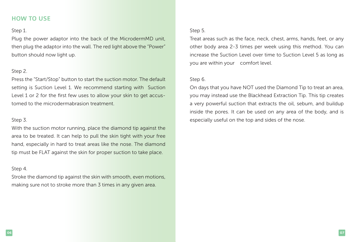# HOW TO USE

### Step 1.

Plug the power adaptor into the back of the MicrodermMD unit, then plug the adaptor into the wall. The red light above the "Power" button should now light up.

## Step 2.

Press the "Start/Stop" button to start the suction motor. The default setting is Suction Level 1. We recommend starting with Suction Level 1 or 2 for the first few uses to allow your skin to get accustomed to the microdermabrasion treatment.

## Step 3.

With the suction motor running, place the diamond tip against the area to be treated. It can help to pull the skin tight with your free hand, especially in hard to treat areas like the nose. The diamond tip must be FLAT against the skin for proper suction to take place.

## Step 4.

Stroke the diamond tip against the skin with smooth, even motions, making sure not to stroke more than 3 times in any given area.

# Step 5.

Treat areas such as the face, neck, chest, arms, hands, feet, or any other body area 2-3 times per week using this method. You can increase the Suction Level over time to Suction Level 5 as long as you are within your comfort level.

# Step 6.

On days that you have NOT used the Diamond Tip to treat an area, you may instead use the Blackhead Extraction Tip. This tip creates a very powerful suction that extracts the oil, sebum, and buildup inside the pores. It can be used on any area of the body, and is especially useful on the top and sides of the nose.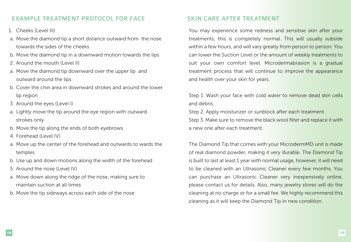# EXAMPLE TREATMENT PROTOCOL FOR FACE SKIN CARE AFTER TREATMENT

- 1. Cheeks (Level III)
- a. Move the diamond tip a short distance outward from the nose towards the sides of the cheeks
- b. Move the diamond tip in a downward motion towards the lips
- 2. Around the mouth (Level II)
- a. Move the diamond tip downward over the upper lip and outward around the lips
- b. Cover the chin area in downward strokes and around the lower lip region
- 3. Around the eyes (Level I)
- a. Lightly move the tip around the eye region with outward strokes only
- b. Move the tip along the ends of both eyebrows
- 4. Forehead (Level IV)
- a. Move up the center of the forehead and outwards to wards the temples
- b. Use up and down motions along the width of the forehead
- 5. Around the nose (Level IV)
- a. Move down along the ridge of the nose, making sure to maintain suction at all times
- b. Move the tip sideways across each side of the nose

You may experience some redness and sensitive skin after your treatments, this is completely normal. This will usually subside within a few hours, and will vary greatly from person to person. You can lower the Suction Level or the amount of weekly treatments to suit your own comfort level. Microdermabrasion is a gradual treatment process that will continue to improve the appearance and health over your skin for years.

Step 1. Wash your face with cold water to remove dead skin cells and debris.

Step 2. Apply moisturizer or sunblock after each treatment. Step 3. Make sure to remove the black wool filter and replace it with a new one after each treatment.

The Diamond Tip that comes with your MicrodermMD unit is made of real diamond powder, making it very durable. The Diamond Tip is built to last at least 1 year with normal usage, however, it will need to be cleaned with an Ultrasonic Cleaner every few months. You can purchase an Ultrasonic Cleaner very inexpensively online, please contact us for details. Also, many jewelry stores will do the cleaning at no charge or for a small fee. We highly recommend this cleaning as it will keep the Diamond Tip in new condition.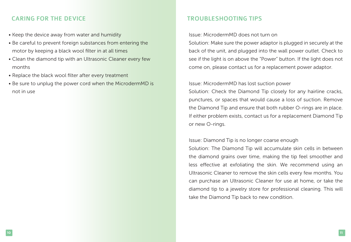# CARING FOR THE DEVICE TROUBLESHOOTING TIPS

- Keep the device away from water and humidity
- Be careful to prevent foreign substances from entering the motor by keeping a black wool filter in at all times
- Clean the diamond tip with an Ultrasonic Cleaner every few months
- Replace the black wool filter after every treatment
- Be sure to unplug the power cord when the MicrodermMD is not in use

### Issue: MicrodermMD does not turn on

Solution: Make sure the power adaptor is plugged in securely at the back of the unit, and plugged into the wall power outlet. Check to see if the light is on above the "Power" button. If the light does not come on, please contact us for a replacement power adaptor.

#### Issue: MicrodermMD has lost suction power

Solution: Check the Diamond Tip closely for any hairline cracks, punctures, or spaces that would cause a loss of suction. Remove the Diamond Tip and ensure that both rubber O-rings are in place. If either problem exists, contact us for a replacement Diamond Tip or new O-rings.

### Issue: Diamond Tip is no longer coarse enough

Solution: The Diamond Tip will accumulate skin cells in between the diamond grains over time, making the tip feel smoother and less effective at exfoliating the skin. We recommend using an Ultrasonic Cleaner to remove the skin cells every few months. You can purchase an Ultrasonic Cleaner for use at home, or take the diamond tip to a jewelry store for professional cleaning. This will take the Diamond Tip back to new condition.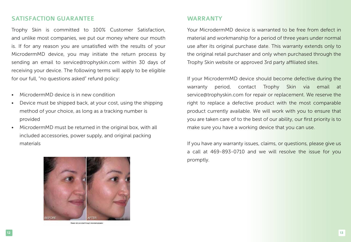# SATISFACTION GUARANTEE WARRANTY

Trophy Skin is committed to 100% Customer Satisfaction, and unlike most companies, we put our money where our mouth is. If for any reason you are unsatisfied with the results of your MicrodermMD device, you may initiate the return process by sending an email to service@trophyskin.com within 30 days of receiving your device. The following terms will apply to be eligible for our full, "no questions asked" refund policy:

- MicrodermMD device is in new condition
- Device must be shipped back, at your cost, using the shipping method of your choice, as long as a tracking number is provided
- MicrodermMD must be returned in the original box, with all included accessories, power supply, and original packing materials

![](_page_7_Picture_5.jpeg)

Clearer skin provided through microdematical

Your MicrodermMD device is warranted to be free from defect in material and workmanship for a period of three years under normal use after its original purchase date. This warranty extends only to the original retail purchaser and only when purchased through the Trophy Skin website or approved 3rd party affiliated sites.

If your MicrodermMD device should become defective during the warranty period, contact Trophy Skin via email at service@trophyskin.com for repair or replacement. We reserve the right to replace a defective product with the most comparable product currently available. We will work with you to ensure that you are taken care of to the best of our ability, our first priority is to make sure you have a working device that you can use.

If you have any warranty issues, claims, or questions, please give us a call at 469-893-0710 and we will resolve the issue for you promptly.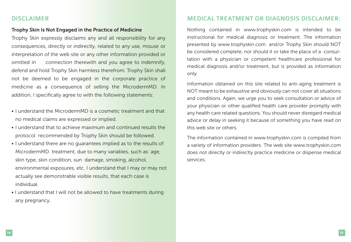#### Trophy Skin Is Not Engaged in the Practice of Medicine

Trophy Skin expressly disclaims any and all responsibility for any consequences, directly or indirectly, related to any use, misuse or interpretation of the web site or any other information provided or omitted in connection therewith and you agree to indemnify, defend and hold Trophy Skin harmless therefrom. Trophy Skin shall not be deemed to be engaged in the corporate practice of medicine as a consequence of selling the MicrodermMD. In addition, I specifically agree to with the following statements:

- I understand the MicrodermMD is a cosmetic treatment and that no medical claims are expressed or implied.
- I understand that to achieve maximum and continued results the protocol recommended by Trophy Skin should be followed.
- I understand there are no guarantees implied as to the results of MicrodermMD treatment, due to many variables, such as: age, skin type, skin condition, sun damage, smoking, alcohol, environmental exposures, etc. I understand that I may or may not actually see demonstrable visible results, that each case is individual.
- I understand that I will not be allowed to have treatments during any pregnancy.

# DISCLAIMER MEDICAL TREATMENT OR DIAGNOSIS DISCLAIMER:

Nothing contained in www.trophyskin.com is intended to be instructional for medical diagnosis or treatment. The information presented by www.trophyskin.com and/or Trophy Skin should NOT be considered complete, nor should it or take the place of a consultation with a physician or competent healthcare professional for medical diagnosis and/or treatment, but is provided as information only.

Information obtained on this site related to anti-aging treatment is NOT meant to be exhaustive and obviously can not cover all situations and conditions. Again, we urge you to seek consultation or advice of your physician or other qualified health care provider promptly with any health care related questions. You should never disregard medical advice or delay in seeking it because of something you have read on this web site or others.

The information contained in www.trophyskin.com is compiled from a variety of information providers. The web site www.trophyskin.com does not directly or indirectly practice medicine or dispense medical services.